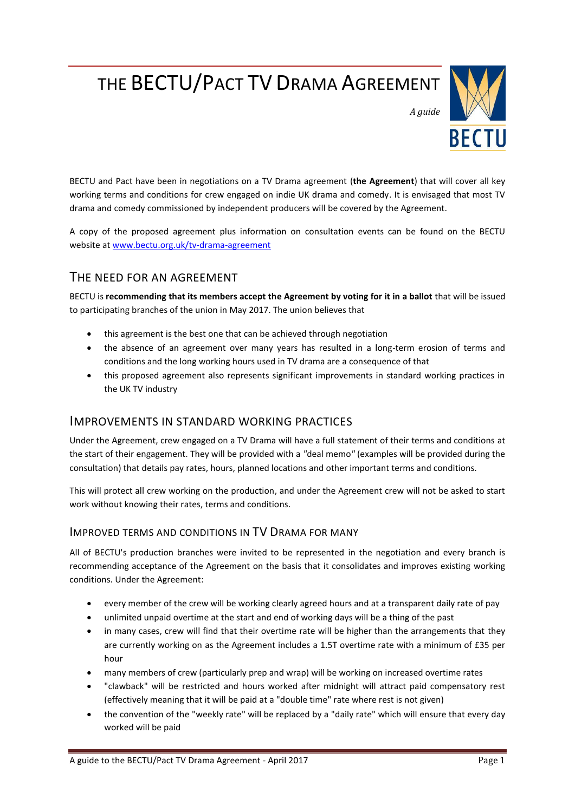# THE BECTU/PACT TV DRAMA AGREEMENT



*A guide*

BECTU and Pact have been in negotiations on a TV Drama agreement (**the Agreement**) that will cover all key working terms and conditions for crew engaged on indie UK drama and comedy. It is envisaged that most TV drama and comedy commissioned by independent producers will be covered by the Agreement.

A copy of the proposed agreement plus information on consultation events can be found on the BECTU website a[t www.bectu.org.uk/tv-drama-agreement](https://www.bectu.org.uk/tv-drama-agreement)

## THE NEED FOR AN AGREEMENT

BECTU is **recommending that its members accept the Agreement by voting for it in a ballot** that will be issued to participating branches of the union in May 2017. The union believes that

- this agreement is the best one that can be achieved through negotiation
- the absence of an agreement over many years has resulted in a long-term erosion of terms and conditions and the long working hours used in TV drama are a consequence of that
- this proposed agreement also represents significant improvements in standard working practices in the UK TV industry

## IMPROVEMENTS IN STANDARD WORKING PRACTICES

Under the Agreement, crew engaged on a TV Drama will have a full statement of their terms and conditions at the start of their engagement. They will be provided with a *"*deal memo*"* (examples will be provided during the consultation) that details pay rates, hours, planned locations and other important terms and conditions.

This will protect all crew working on the production, and under the Agreement crew will not be asked to start work without knowing their rates, terms and conditions.

#### IMPROVED TERMS AND CONDITIONS IN TV DRAMA FOR MANY

All of BECTU's production branches were invited to be represented in the negotiation and every branch is recommending acceptance of the Agreement on the basis that it consolidates and improves existing working conditions. Under the Agreement:

- every member of the crew will be working clearly agreed hours and at a transparent daily rate of pay
- unlimited unpaid overtime at the start and end of working days will be a thing of the past
- in many cases, crew will find that their overtime rate will be higher than the arrangements that they are currently working on as the Agreement includes a 1.5T overtime rate with a minimum of £35 per hour
- many members of crew (particularly prep and wrap) will be working on increased overtime rates
- "clawback" will be restricted and hours worked after midnight will attract paid compensatory rest (effectively meaning that it will be paid at a "double time" rate where rest is not given)
- the convention of the "weekly rate" will be replaced by a "daily rate" which will ensure that every day worked will be paid